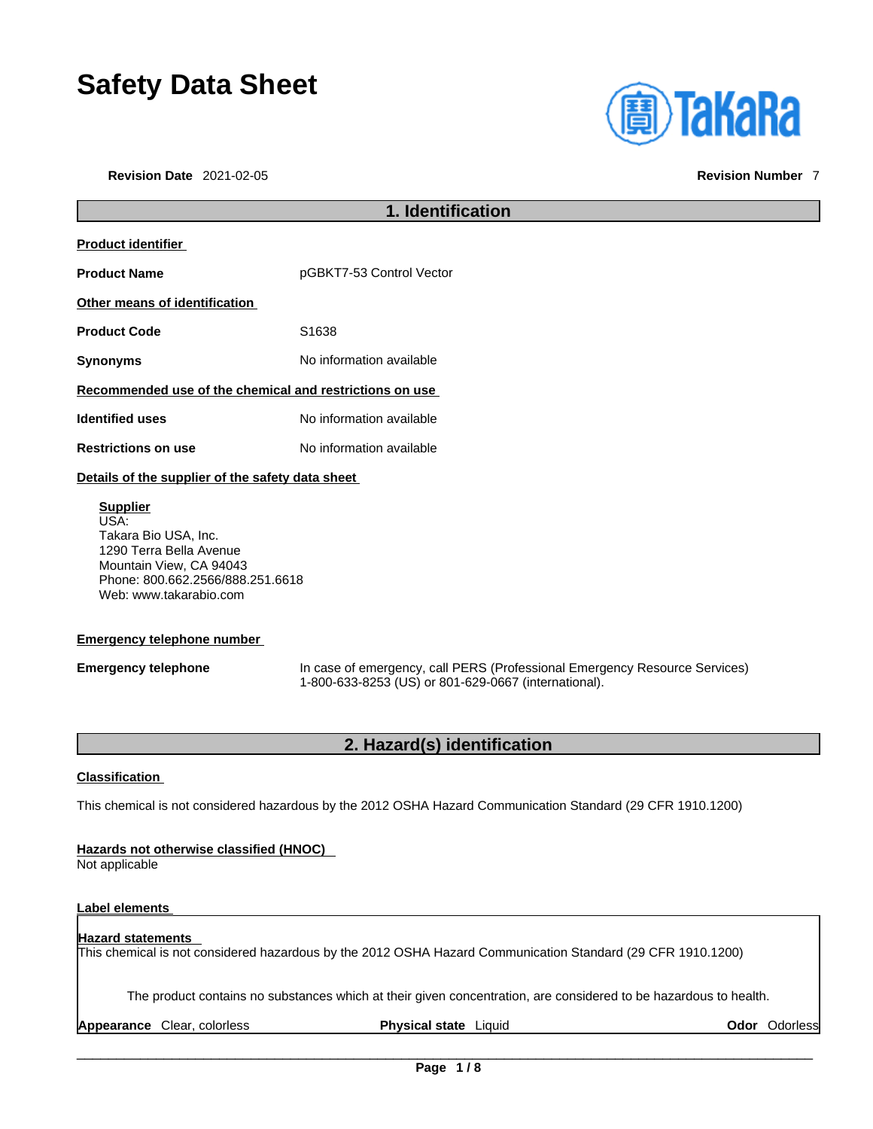# **Safety Data Sheet**

**Revision Date** 2021-02-05 **Revision Number** 7



# **1. Identification Product identifier Product Name** Product **Name** pGBKT7-53 Control Vector **Other means of identification** Product Code **S1638 Synonyms** No information available **Recommended use of the chemical and restrictions on use Identified uses** No information available **Restrictions on use** No information available **Details of the supplier of the safety data sheet Supplier** USA: Takara Bio USA, Inc. 1290 Terra Bella Avenue

Mountain View, CA 94043 Phone: 800.662.2566/888.251.6618 Web: www.takarabio.com

### **Emergency telephone number**

**Emergency telephone** In case of emergency, call PERS (Professional Emergency Resource Services) 1-800-633-8253 (US) or 801-629-0667 (international).

### **2. Hazard(s) identification**

### **Classification**

This chemical is not considered hazardous by the 2012 OSHA Hazard Communication Standard (29 CFR 1910.1200)

### **Hazards not otherwise classified (HNOC)**

Not applicable

### **Label elements**

### **Hazard statements**  This chemical is not considered hazardous by the 2012 OSHA Hazard Communication Standard (29 CFR 1910.1200)

The product contains no substances which at their given concentration, are considered to be hazardous to health.

**Appearance** Clear, colorless **Physical state** Liquid **Odor** Odorless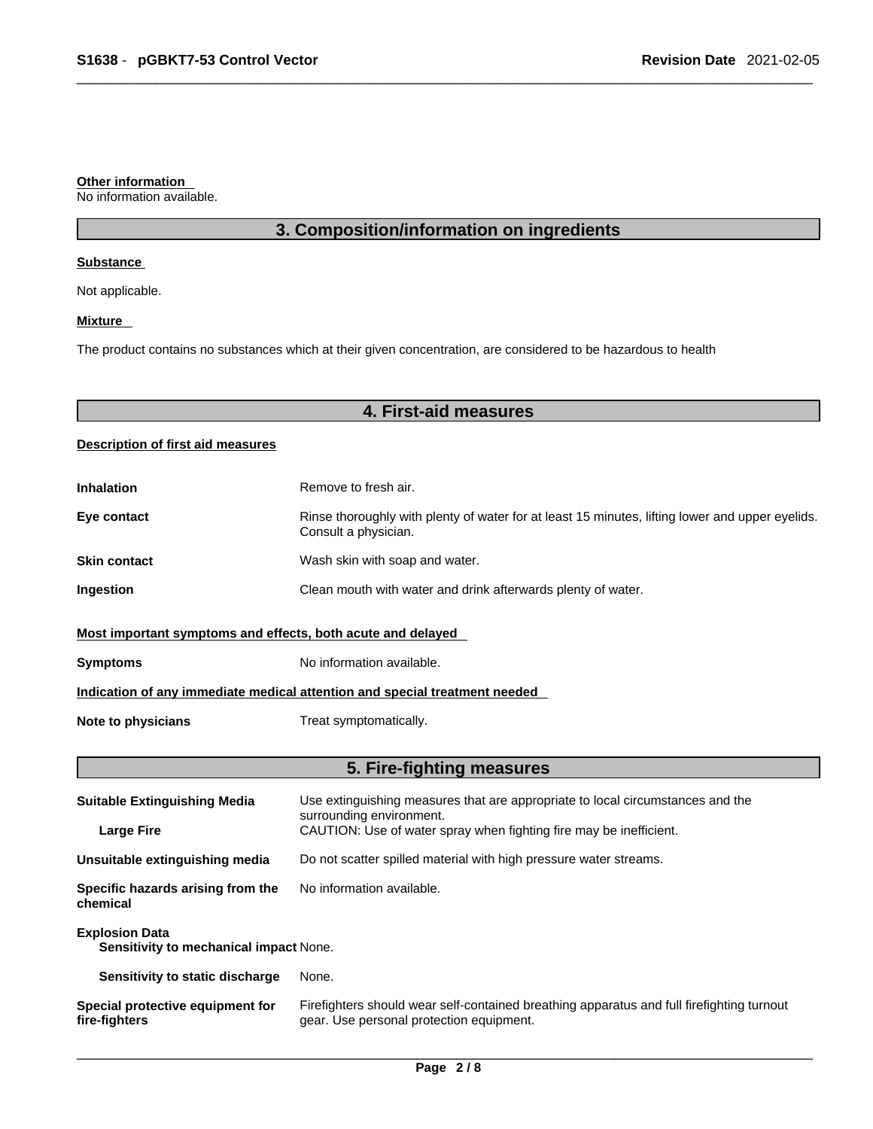### **Other information**

No information available.

## **3. Composition/information on ingredients**

### **Substance**

Not applicable.

### **Mixture**

The product contains no substances which at their given concentration, are considered to be hazardous to health

# **4. First-aid measures**

### **Description of first aid measures**

| <b>Inhalation</b>                                                          | Remove to fresh air.                                                                                                    |  |
|----------------------------------------------------------------------------|-------------------------------------------------------------------------------------------------------------------------|--|
| Eye contact                                                                | Rinse thoroughly with plenty of water for at least 15 minutes, lifting lower and upper eyelids.<br>Consult a physician. |  |
| <b>Skin contact</b>                                                        | Wash skin with soap and water.                                                                                          |  |
| Ingestion                                                                  | Clean mouth with water and drink afterwards plenty of water.                                                            |  |
| Most important symptoms and effects, both acute and delayed                |                                                                                                                         |  |
| <b>Symptoms</b>                                                            | No information available.                                                                                               |  |
| Indication of any immediate medical attention and special treatment needed |                                                                                                                         |  |
| Note to physicians                                                         | Treat symptomatically.                                                                                                  |  |

# **5. Fire-fighting measures**

| <b>Suitable Extinguishing Media</b>                             | Use extinguishing measures that are appropriate to local circumstances and the<br>surrounding environment.                            |  |
|-----------------------------------------------------------------|---------------------------------------------------------------------------------------------------------------------------------------|--|
| <b>Large Fire</b>                                               | CAUTION: Use of water spray when fighting fire may be inefficient.                                                                    |  |
| Unsuitable extinguishing media                                  | Do not scatter spilled material with high pressure water streams.                                                                     |  |
| Specific hazards arising from the<br>chemical                   | No information available.                                                                                                             |  |
| <b>Explosion Data</b><br>Sensitivity to mechanical impact None. |                                                                                                                                       |  |
| Sensitivity to static discharge                                 | None.                                                                                                                                 |  |
| Special protective equipment for<br>fire-fighters               | Firefighters should wear self-contained breathing apparatus and full firefighting turnout<br>gear. Use personal protection equipment. |  |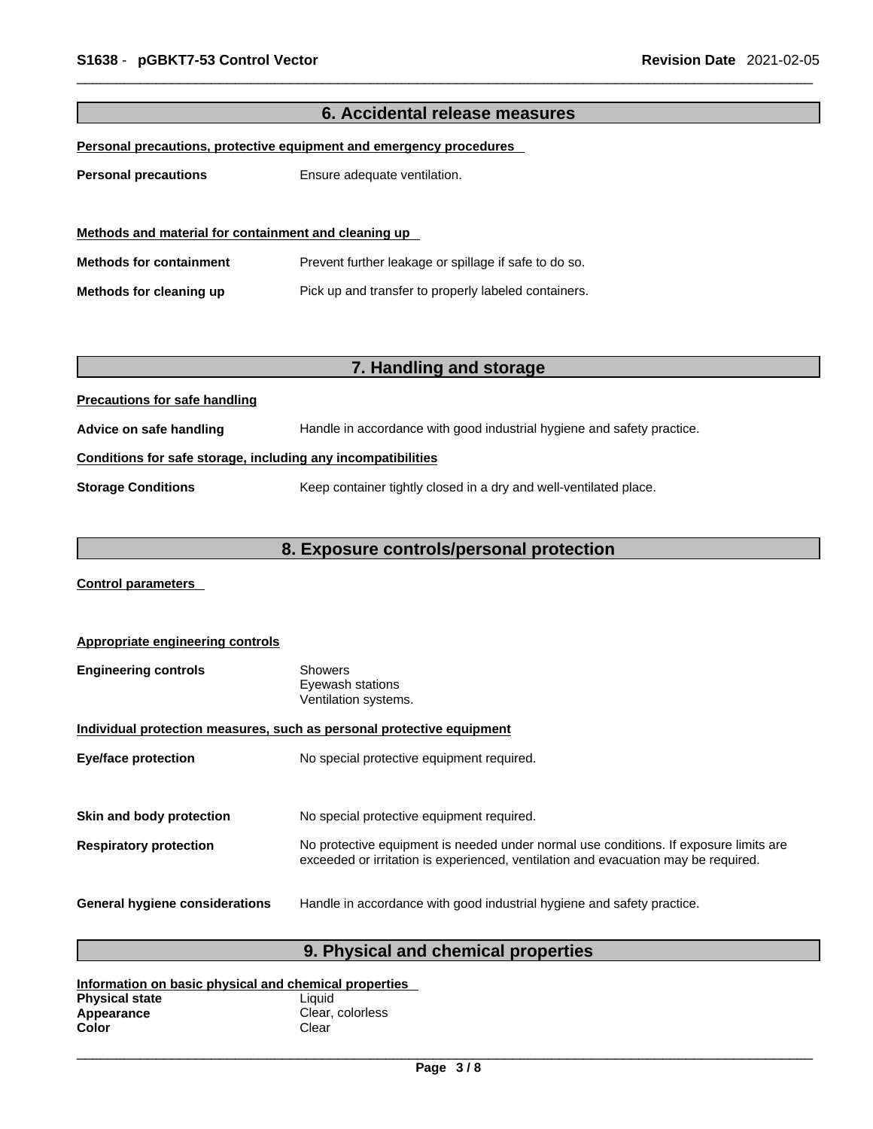| 6. Accidental release measures                                      |                                                                        |  |
|---------------------------------------------------------------------|------------------------------------------------------------------------|--|
| Personal precautions, protective equipment and emergency procedures |                                                                        |  |
| <b>Personal precautions</b>                                         | Ensure adequate ventilation.                                           |  |
|                                                                     |                                                                        |  |
| Methods and material for containment and cleaning up                |                                                                        |  |
| <b>Methods for containment</b>                                      | Prevent further leakage or spillage if safe to do so.                  |  |
| Methods for cleaning up                                             | Pick up and transfer to properly labeled containers.                   |  |
|                                                                     |                                                                        |  |
|                                                                     |                                                                        |  |
|                                                                     | 7. Handling and storage                                                |  |
| <b>Precautions for safe handling</b>                                |                                                                        |  |
| Advice on safe handling                                             | Handle in accordance with good industrial hygiene and safety practice. |  |
| Conditions for safe storage, including any incompatibilities        |                                                                        |  |
| <b>Storage Conditions</b>                                           | Keep container tightly closed in a dry and well-ventilated place.      |  |
|                                                                     |                                                                        |  |
| 8. Exposure controls/personal protection                            |                                                                        |  |

**Control parameters** 

| <b>Appropriate engineering controls</b>                               |                                                                                                                                                                             |  |
|-----------------------------------------------------------------------|-----------------------------------------------------------------------------------------------------------------------------------------------------------------------------|--|
| <b>Engineering controls</b>                                           | Showers<br>Eyewash stations<br>Ventilation systems.                                                                                                                         |  |
| Individual protection measures, such as personal protective equipment |                                                                                                                                                                             |  |
| <b>Eye/face protection</b>                                            | No special protective equipment required.                                                                                                                                   |  |
|                                                                       |                                                                                                                                                                             |  |
| Skin and body protection                                              | No special protective equipment required.                                                                                                                                   |  |
| <b>Respiratory protection</b>                                         | No protective equipment is needed under normal use conditions. If exposure limits are<br>exceeded or irritation is experienced, ventilation and evacuation may be required. |  |
| <b>General hygiene considerations</b>                                 | Handle in accordance with good industrial hygiene and safety practice.                                                                                                      |  |

# **9. Physical and chemical properties**

| Information on basic physical and chemical properties |                  |  |
|-------------------------------------------------------|------------------|--|
| <b>Physical state</b>                                 | Liauid           |  |
| Appearance                                            | Clear, colorless |  |
| Color                                                 | Clear            |  |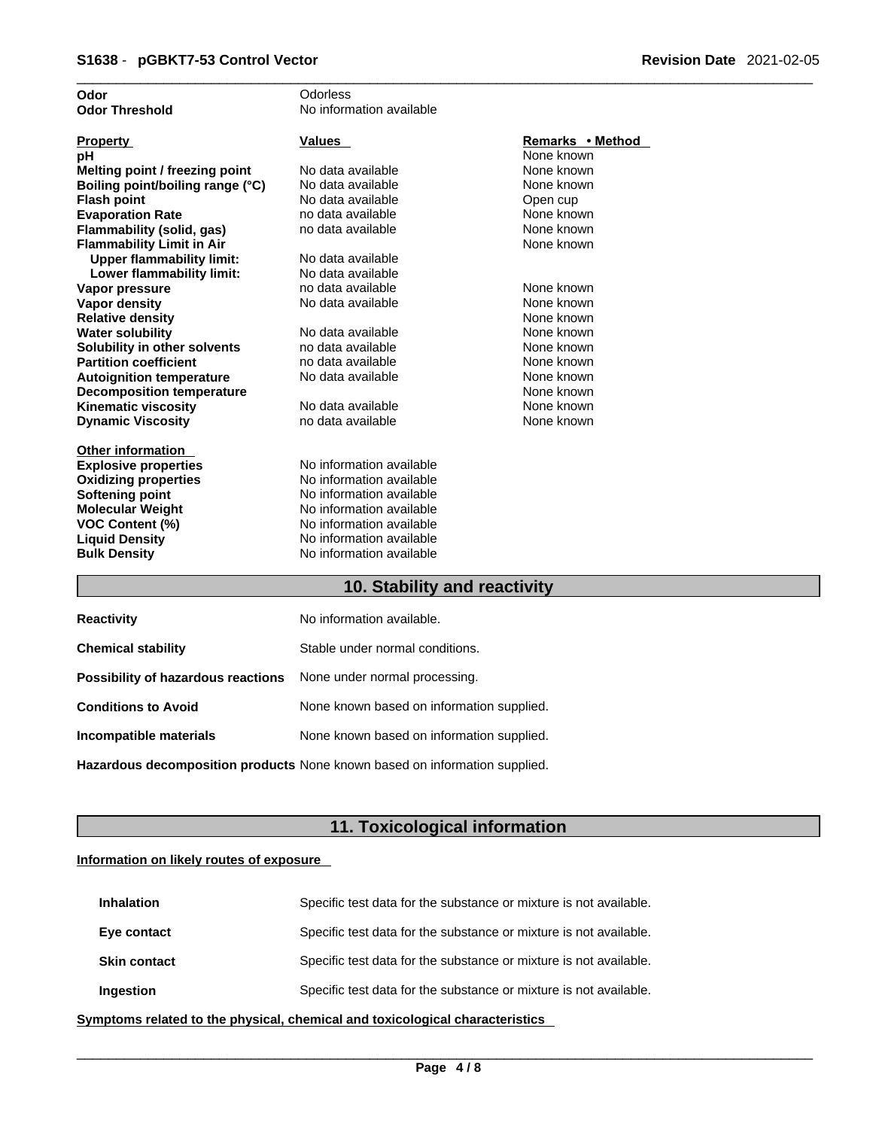| Odor                             | Odorless                 |                  |
|----------------------------------|--------------------------|------------------|
| <b>Odor Threshold</b>            | No information available |                  |
|                                  |                          |                  |
| <b>Property</b>                  | <b>Values</b>            | Remarks • Method |
| рH                               |                          | None known       |
| Melting point / freezing point   | No data available        | None known       |
| Boiling point/boiling range (°C) | No data available        | None known       |
| <b>Flash point</b>               | No data available        | Open cup         |
| <b>Evaporation Rate</b>          | no data available        | None known       |
| Flammability (solid, gas)        | no data available        | None known       |
| <b>Flammability Limit in Air</b> |                          | None known       |
| <b>Upper flammability limit:</b> | No data available        |                  |
| Lower flammability limit:        | No data available        |                  |
| Vapor pressure                   | no data available        | None known       |
| <b>Vapor density</b>             | No data available        | None known       |
| <b>Relative density</b>          |                          | None known       |
| <b>Water solubility</b>          | No data available        | None known       |
| Solubility in other solvents     | no data available        | None known       |
| <b>Partition coefficient</b>     | no data available        | None known       |
| <b>Autoignition temperature</b>  | No data available        | None known       |
| <b>Decomposition temperature</b> |                          | None known       |
| <b>Kinematic viscosity</b>       | No data available        | None known       |
| <b>Dynamic Viscosity</b>         | no data available        | None known       |
|                                  |                          |                  |
| <b>Other information</b>         |                          |                  |
| <b>Explosive properties</b>      | No information available |                  |
| <b>Oxidizing properties</b>      | No information available |                  |
| <b>Softening point</b>           | No information available |                  |
| <b>Molecular Weight</b>          | No information available |                  |
| <b>VOC Content (%)</b>           | No information available |                  |
| <b>Liquid Density</b>            | No information available |                  |
| <b>Bulk Density</b>              | No information available |                  |
|                                  |                          |                  |

### **10. Stability and reactivity**

| <b>Reactivity</b>                                                       | No information available.                 |
|-------------------------------------------------------------------------|-------------------------------------------|
| <b>Chemical stability</b>                                               | Stable under normal conditions.           |
| <b>Possibility of hazardous reactions</b> None under normal processing. |                                           |
| <b>Conditions to Avoid</b>                                              | None known based on information supplied. |
| Incompatible materials                                                  | None known based on information supplied. |
|                                                                         |                                           |

**Hazardous decomposition products** None known based on information supplied.

# **11. Toxicological information**

### **Information on likely routes of exposure**

| <b>Inhalation</b>   | Specific test data for the substance or mixture is not available. |
|---------------------|-------------------------------------------------------------------|
| Eye contact         | Specific test data for the substance or mixture is not available. |
| <b>Skin contact</b> | Specific test data for the substance or mixture is not available. |
| Ingestion           | Specific test data for the substance or mixture is not available. |

**<u>Symptoms related to the physical, chemical and toxicological characteristics</u>**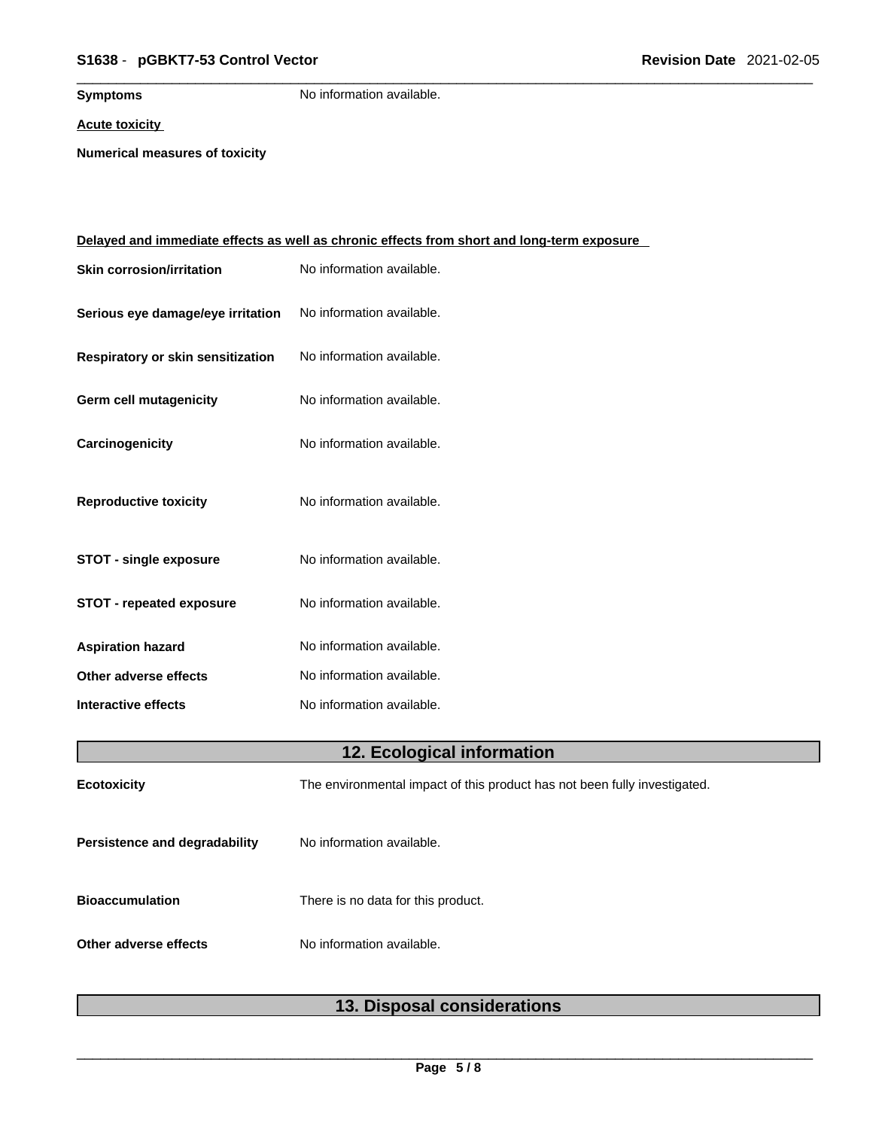### \_\_\_\_\_\_\_\_\_\_\_\_\_\_\_\_\_\_\_\_\_\_\_\_\_\_\_\_\_\_\_\_\_\_\_\_\_\_\_\_\_\_\_\_\_\_\_\_\_\_\_\_\_\_\_\_\_\_\_\_\_\_\_\_\_\_\_\_\_\_\_\_\_\_\_\_\_\_\_\_\_\_\_\_\_\_\_\_\_\_\_\_\_ **S1638** - **pGBKT7-53 Control Vector Revision Date** 2021-02-05

**Symptoms** No information available.

**Acute toxicity**

**Numerical measures of toxicity**

|                                   | <u>Delayed and immediate effects as well as chronic effects from short and long-term exposure</u> |
|-----------------------------------|---------------------------------------------------------------------------------------------------|
| <b>Skin corrosion/irritation</b>  | No information available.                                                                         |
| Serious eye damage/eye irritation | No information available.                                                                         |
| Respiratory or skin sensitization | No information available.                                                                         |
| Germ cell mutagenicity            | No information available.                                                                         |
| Carcinogenicity                   | No information available.                                                                         |
| <b>Reproductive toxicity</b>      | No information available.                                                                         |
| <b>STOT - single exposure</b>     | No information available.                                                                         |
| <b>STOT - repeated exposure</b>   | No information available.                                                                         |
| <b>Aspiration hazard</b>          | No information available.                                                                         |
| Other adverse effects             | No information available.                                                                         |
| Interactive effects               | No information available.                                                                         |
|                                   | 12. Ecological information                                                                        |
| <b>Ecotoxicity</b>                | The environmental impact of this product has not been fully investigated.                         |
| Persistence and degradability     | No information available.                                                                         |
| <b>Bioaccumulation</b>            | There is no data for this product.                                                                |
| Other adverse effects             | No information available.                                                                         |
|                                   |                                                                                                   |

# **13. Disposal considerations**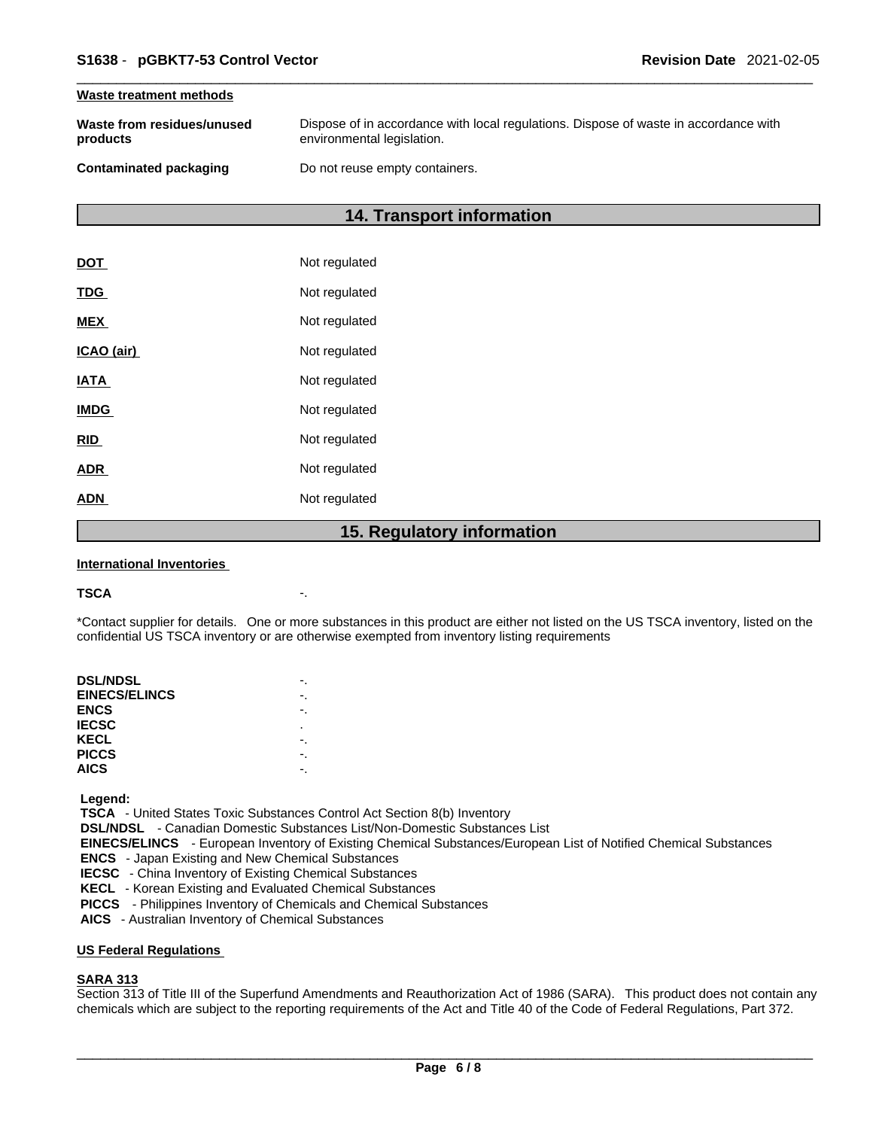### **Waste treatment methods**

| Waste from residues/unused | Dispose of in accordance with local regulations. Dispose of waste in accordance with |
|----------------------------|--------------------------------------------------------------------------------------|
| products                   | environmental legislation.                                                           |
| Contaminated packaging     | Do not reuse empty containers.                                                       |

### **14. Transport information**

|             | 1 F<br><b>Dogulator</b> |
|-------------|-------------------------|
| <b>ADN</b>  | Not regulated           |
| <b>ADR</b>  | Not regulated           |
| <b>RID</b>  | Not regulated           |
| <b>IMDG</b> | Not regulated           |
| <b>IATA</b> | Not regulated           |
| ICAO (air)  | Not regulated           |
| <b>MEX</b>  | Not regulated           |
| <b>TDG</b>  | Not regulated           |
| <b>DOT</b>  | Not regulated           |

### **15. Regulatory information**

### **International Inventories**

### **TSCA** -.

\*Contact supplier for details. One or more substances in this product are either not listed on the US TSCA inventory, listed on the confidential US TSCA inventory or are otherwise exempted from inventory listing requirements

| <b>DSL/NDSL</b>      |   |
|----------------------|---|
| <b>EINECS/ELINCS</b> |   |
| <b>ENCS</b>          |   |
| <b>IECSC</b>         | ٠ |
| KECL                 |   |
| <b>PICCS</b>         |   |
| <b>AICS</b>          |   |
|                      |   |

 **Legend:** 

 **TSCA** - United States Toxic Substances Control Act Section 8(b) Inventory

 **DSL/NDSL** - Canadian Domestic Substances List/Non-Domestic Substances List

 **EINECS/ELINCS** - European Inventory of Existing Chemical Substances/European List of Notified Chemical Substances

 **ENCS** - Japan Existing and New Chemical Substances

 **IECSC** - China Inventory of Existing Chemical Substances

 **KECL** - Korean Existing and Evaluated Chemical Substances

 **PICCS** - Philippines Inventory of Chemicals and Chemical Substances

 **AICS** - Australian Inventory of Chemical Substances

### **US Federal Regulations**

### **SARA 313**

Section 313 of Title III of the Superfund Amendments and Reauthorization Act of 1986 (SARA). This product does not contain any chemicals which are subject to the reporting requirements of the Act and Title 40 of the Code of Federal Regulations, Part 372.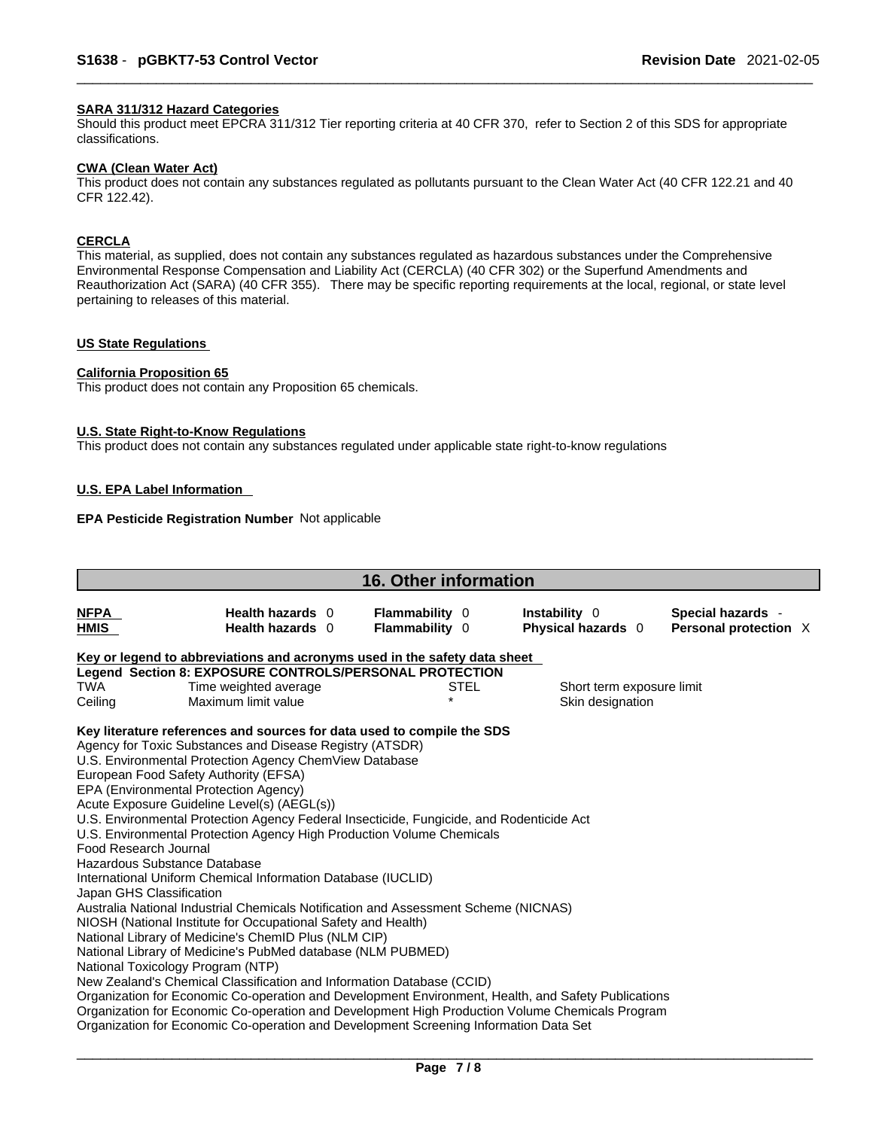### **SARA 311/312 Hazard Categories**

Should this product meet EPCRA 311/312 Tier reporting criteria at 40 CFR 370, refer to Section 2 of this SDS for appropriate classifications.

### **CWA (Clean WaterAct)**

This product does not contain any substances regulated as pollutants pursuant to the Clean Water Act (40 CFR 122.21 and 40 CFR 122.42).

### **CERCLA**

This material, as supplied, does not contain any substances regulated as hazardous substances under the Comprehensive Environmental Response Compensation and Liability Act (CERCLA) (40 CFR 302) or the Superfund Amendments and Reauthorization Act (SARA) (40 CFR 355). There may be specific reporting requirements at the local, regional, or state level pertaining to releases of this material.

### **US State Regulations**

### **California Proposition 65**

This product does not contain any Proposition 65 chemicals.

### **U.S. State Right-to-Know Regulations**

This product does not contain any substances regulated under applicable state right-to-know regulations

### **U.S. EPA Label Information**

### **EPA Pesticide Registration Number** Not applicable

| <b>16. Other information</b>                                                      |                                                                                                                                                                                                                                                                                                                                                                                                                                                                                                                                                                                                                                                                                                                                                                                                                                                                                                                                                                                                                                                                                                                                                                                                                                                                    |                                         |      |                                            |  |                                            |  |  |
|-----------------------------------------------------------------------------------|--------------------------------------------------------------------------------------------------------------------------------------------------------------------------------------------------------------------------------------------------------------------------------------------------------------------------------------------------------------------------------------------------------------------------------------------------------------------------------------------------------------------------------------------------------------------------------------------------------------------------------------------------------------------------------------------------------------------------------------------------------------------------------------------------------------------------------------------------------------------------------------------------------------------------------------------------------------------------------------------------------------------------------------------------------------------------------------------------------------------------------------------------------------------------------------------------------------------------------------------------------------------|-----------------------------------------|------|--------------------------------------------|--|--------------------------------------------|--|--|
| <b>NFPA</b><br>HMIS                                                               | Health hazards 0<br>Health hazards 0                                                                                                                                                                                                                                                                                                                                                                                                                                                                                                                                                                                                                                                                                                                                                                                                                                                                                                                                                                                                                                                                                                                                                                                                                               | <b>Flammability 0</b><br>Flammability 0 |      | <b>Instability</b> 0<br>Physical hazards 0 |  | Special hazards -<br>Personal protection X |  |  |
|                                                                                   | Key or legend to abbreviations and acronyms used in the safety data sheet                                                                                                                                                                                                                                                                                                                                                                                                                                                                                                                                                                                                                                                                                                                                                                                                                                                                                                                                                                                                                                                                                                                                                                                          |                                         |      |                                            |  |                                            |  |  |
|                                                                                   | Legend Section 8: EXPOSURE CONTROLS/PERSONAL PROTECTION                                                                                                                                                                                                                                                                                                                                                                                                                                                                                                                                                                                                                                                                                                                                                                                                                                                                                                                                                                                                                                                                                                                                                                                                            |                                         |      |                                            |  |                                            |  |  |
| TWA                                                                               | Time weighted average                                                                                                                                                                                                                                                                                                                                                                                                                                                                                                                                                                                                                                                                                                                                                                                                                                                                                                                                                                                                                                                                                                                                                                                                                                              |                                         | STEL | Short term exposure limit                  |  |                                            |  |  |
| Ceiling                                                                           | Maximum limit value                                                                                                                                                                                                                                                                                                                                                                                                                                                                                                                                                                                                                                                                                                                                                                                                                                                                                                                                                                                                                                                                                                                                                                                                                                                |                                         |      | Skin designation                           |  |                                            |  |  |
| Food Research Journal<br>Hazardous Substance Database<br>Japan GHS Classification | Key literature references and sources for data used to compile the SDS<br>Agency for Toxic Substances and Disease Registry (ATSDR)<br>U.S. Environmental Protection Agency ChemView Database<br>European Food Safety Authority (EFSA)<br>EPA (Environmental Protection Agency)<br>Acute Exposure Guideline Level(s) (AEGL(s))<br>U.S. Environmental Protection Agency Federal Insecticide, Fungicide, and Rodenticide Act<br>U.S. Environmental Protection Agency High Production Volume Chemicals<br>International Uniform Chemical Information Database (IUCLID)<br>Australia National Industrial Chemicals Notification and Assessment Scheme (NICNAS)<br>NIOSH (National Institute for Occupational Safety and Health)<br>National Library of Medicine's ChemID Plus (NLM CIP)<br>National Library of Medicine's PubMed database (NLM PUBMED)<br>National Toxicology Program (NTP)<br>New Zealand's Chemical Classification and Information Database (CCID)<br>Organization for Economic Co-operation and Development Environment, Health, and Safety Publications<br>Organization for Economic Co-operation and Development High Production Volume Chemicals Program<br>Organization for Economic Co-operation and Development Screening Information Data Set |                                         |      |                                            |  |                                            |  |  |